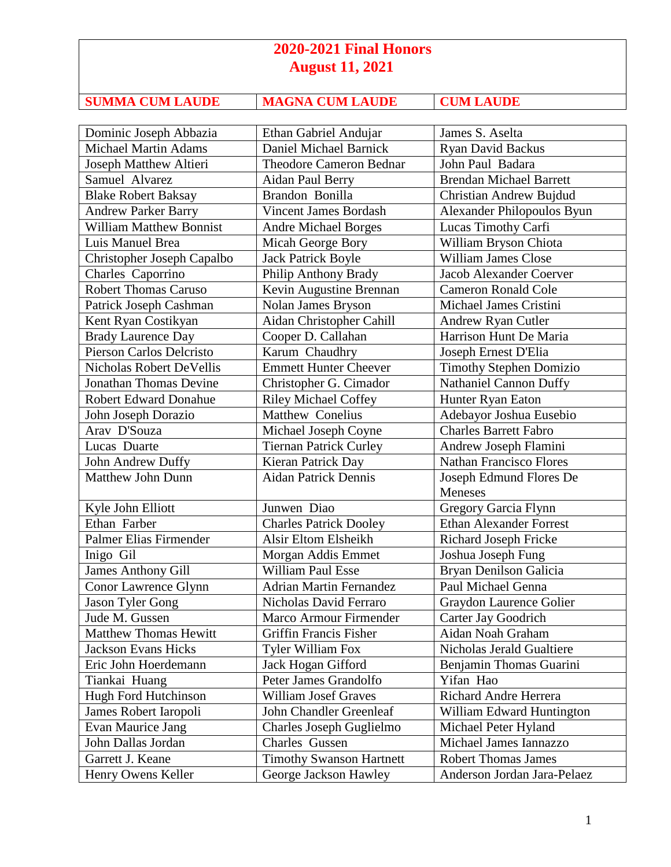## **2020-2021 Final Honors August 11, 2021**

| <b>SUMMA CUM LAUDE</b> |
|------------------------|
|                        |

**SUMMA CUM LAUDE CUM LAUDE** 

| Dominic Joseph Abbazia         | Ethan Gabriel Andujar           | James S. Aselta                |
|--------------------------------|---------------------------------|--------------------------------|
| <b>Michael Martin Adams</b>    | Daniel Michael Barnick          | Ryan David Backus              |
| Joseph Matthew Altieri         | <b>Theodore Cameron Bednar</b>  | John Paul Badara               |
| Samuel Alvarez                 | Aidan Paul Berry                | <b>Brendan Michael Barrett</b> |
| <b>Blake Robert Baksay</b>     | Brandon Bonilla                 | Christian Andrew Bujdud        |
| <b>Andrew Parker Barry</b>     | <b>Vincent James Bordash</b>    | Alexander Philopoulos Byun     |
| <b>William Matthew Bonnist</b> | <b>Andre Michael Borges</b>     | Lucas Timothy Carfi            |
| Luis Manuel Brea               | Micah George Bory               | William Bryson Chiota          |
| Christopher Joseph Capalbo     | <b>Jack Patrick Boyle</b>       | <b>William James Close</b>     |
| Charles Caporrino              | Philip Anthony Brady            | <b>Jacob Alexander Coerver</b> |
| <b>Robert Thomas Caruso</b>    | Kevin Augustine Brennan         | <b>Cameron Ronald Cole</b>     |
| Patrick Joseph Cashman         | Nolan James Bryson              | Michael James Cristini         |
| Kent Ryan Costikyan            | Aidan Christopher Cahill        | <b>Andrew Ryan Cutler</b>      |
| <b>Brady Laurence Day</b>      | Cooper D. Callahan              | Harrison Hunt De Maria         |
| Pierson Carlos Delcristo       | Karum Chaudhry                  | Joseph Ernest D'Elia           |
| Nicholas Robert DeVellis       | <b>Emmett Hunter Cheever</b>    | <b>Timothy Stephen Domizio</b> |
| <b>Jonathan Thomas Devine</b>  | Christopher G. Cimador          | <b>Nathaniel Cannon Duffy</b>  |
| <b>Robert Edward Donahue</b>   | <b>Riley Michael Coffey</b>     | Hunter Ryan Eaton              |
| John Joseph Dorazio            | <b>Matthew Conelius</b>         | Adebayor Joshua Eusebio        |
| Arav D'Souza                   | Michael Joseph Coyne            | <b>Charles Barrett Fabro</b>   |
| Lucas Duarte                   | <b>Tiernan Patrick Curley</b>   | Andrew Joseph Flamini          |
| John Andrew Duffy              | Kieran Patrick Day              | <b>Nathan Francisco Flores</b> |
| <b>Matthew John Dunn</b>       | Aidan Patrick Dennis            | Joseph Edmund Flores De        |
|                                |                                 | <b>Meneses</b>                 |
| Kyle John Elliott              | Junwen Diao                     | Gregory Garcia Flynn           |
| Ethan Farber                   | <b>Charles Patrick Dooley</b>   | <b>Ethan Alexander Forrest</b> |
| Palmer Elias Firmender         | Alsir Eltom Elsheikh            | Richard Joseph Fricke          |
| Inigo Gil                      | Morgan Addis Emmet              | Joshua Joseph Fung             |
| <b>James Anthony Gill</b>      | <b>William Paul Esse</b>        | Bryan Denilson Galicia         |
| Conor Lawrence Glynn           | <b>Adrian Martin Fernandez</b>  | Paul Michael Genna             |
| Jason Tyler Gong               | Nicholas David Ferraro          | Graydon Laurence Golier        |
| Jude M. Gussen                 | Marco Armour Firmender          | Carter Jay Goodrich            |
| <b>Matthew Thomas Hewitt</b>   | Griffin Francis Fisher          | Aidan Noah Graham              |
| <b>Jackson Evans Hicks</b>     | <b>Tyler William Fox</b>        | Nicholas Jerald Gualtiere      |
| Eric John Hoerdemann           | Jack Hogan Gifford              | Benjamin Thomas Guarini        |
| Tiankai Huang                  | Peter James Grandolfo           | Yifan Hao                      |
| Hugh Ford Hutchinson           | <b>William Josef Graves</b>     | Richard Andre Herrera          |
| James Robert Iaropoli          | John Chandler Greenleaf         | William Edward Huntington      |
| Evan Maurice Jang              | Charles Joseph Guglielmo        | Michael Peter Hyland           |
| John Dallas Jordan             | Charles Gussen                  | Michael James Iannazzo         |
| Garrett J. Keane               | <b>Timothy Swanson Hartnett</b> | <b>Robert Thomas James</b>     |
| Henry Owens Keller             | George Jackson Hawley           | Anderson Jordan Jara-Pelaez    |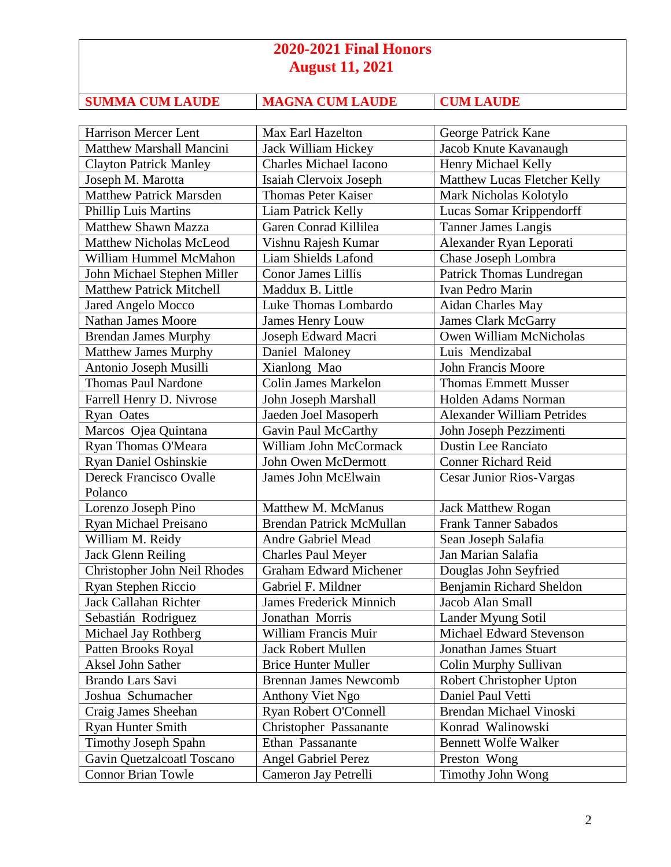## **2020-2021 Final Honors August 11, 2021**

| <b>SUMMA CUM LAUDE</b> |  |
|------------------------|--|

**MAGNA CUM LAUDE CUM LAUDE** 

| Harrison Mercer Lent            | Max Earl Hazelton             | George Patrick Kane               |
|---------------------------------|-------------------------------|-----------------------------------|
| <b>Matthew Marshall Mancini</b> | Jack William Hickey           | Jacob Knute Kavanaugh             |
| <b>Clayton Patrick Manley</b>   | <b>Charles Michael Iacono</b> | Henry Michael Kelly               |
| Joseph M. Marotta               | Isaiah Clervoix Joseph        | Matthew Lucas Fletcher Kelly      |
| <b>Matthew Patrick Marsden</b>  | <b>Thomas Peter Kaiser</b>    | Mark Nicholas Kolotylo            |
| <b>Phillip Luis Martins</b>     | Liam Patrick Kelly            | Lucas Somar Krippendorff          |
| <b>Matthew Shawn Mazza</b>      | Garen Conrad Killilea         | <b>Tanner James Langis</b>        |
| <b>Matthew Nicholas McLeod</b>  | Vishnu Rajesh Kumar           | Alexander Ryan Leporati           |
| William Hummel McMahon          | Liam Shields Lafond           | Chase Joseph Lombra               |
| John Michael Stephen Miller     | Conor James Lillis            | Patrick Thomas Lundregan          |
| <b>Matthew Patrick Mitchell</b> | Maddux B. Little              | Ivan Pedro Marin                  |
| Jared Angelo Mocco              | Luke Thomas Lombardo          | Aidan Charles May                 |
| <b>Nathan James Moore</b>       | <b>James Henry Louw</b>       | <b>James Clark McGarry</b>        |
| <b>Brendan James Murphy</b>     | Joseph Edward Macri           | Owen William McNicholas           |
| <b>Matthew James Murphy</b>     | Daniel Maloney                | Luis Mendizabal                   |
| Antonio Joseph Musilli          | Xianlong Mao                  | <b>John Francis Moore</b>         |
| <b>Thomas Paul Nardone</b>      | <b>Colin James Markelon</b>   | <b>Thomas Emmett Musser</b>       |
| Farrell Henry D. Nivrose        | John Joseph Marshall          | Holden Adams Norman               |
| <b>Ryan Oates</b>               | Jaeden Joel Masoperh          | <b>Alexander William Petrides</b> |
| Marcos Ojea Quintana            | Gavin Paul McCarthy           | John Joseph Pezzimenti            |
| Ryan Thomas O'Meara             | William John McCormack        | <b>Dustin Lee Ranciato</b>        |
| Ryan Daniel Oshinskie           | John Owen McDermott           | <b>Conner Richard Reid</b>        |
| <b>Dereck Francisco Ovalle</b>  | James John McElwain           | Cesar Junior Rios-Vargas          |
| Polanco                         |                               |                                   |
| Lorenzo Joseph Pino             | Matthew M. McManus            | <b>Jack Matthew Rogan</b>         |
| Ryan Michael Preisano           | Brendan Patrick McMullan      | Frank Tanner Sabados              |
| William M. Reidy                | <b>Andre Gabriel Mead</b>     | Sean Joseph Salafia               |
| <b>Jack Glenn Reiling</b>       | <b>Charles Paul Meyer</b>     | Jan Marian Salafia                |
| Christopher John Neil Rhodes    | <b>Graham Edward Michener</b> | Douglas John Seyfried             |
| Ryan Stephen Riccio             | Gabriel F. Mildner            | Benjamin Richard Sheldon          |
| Jack Callahan Richter           | James Frederick Minnich       | Jacob Alan Small                  |
| Sebastián Rodriguez             | Jonathan Morris               | Lander Myung Sotil                |
| Michael Jay Rothberg            | William Francis Muir          | Michael Edward Stevenson          |
| Patten Brooks Royal             | <b>Jack Robert Mullen</b>     | <b>Jonathan James Stuart</b>      |
| Aksel John Sather               | <b>Brice Hunter Muller</b>    | Colin Murphy Sullivan             |
| Brando Lars Savi                | <b>Brennan James Newcomb</b>  | Robert Christopher Upton          |
| Joshua Schumacher               | Anthony Viet Ngo              | Daniel Paul Vetti                 |
| Craig James Sheehan             | Ryan Robert O'Connell         | Brendan Michael Vinoski           |
| <b>Ryan Hunter Smith</b>        | Christopher Passanante        | Konrad Walinowski                 |
| <b>Timothy Joseph Spahn</b>     | Ethan Passanante              | <b>Bennett Wolfe Walker</b>       |
| Gavin Quetzalcoatl Toscano      | <b>Angel Gabriel Perez</b>    | Preston Wong                      |
| <b>Connor Brian Towle</b>       | Cameron Jay Petrelli          | <b>Timothy John Wong</b>          |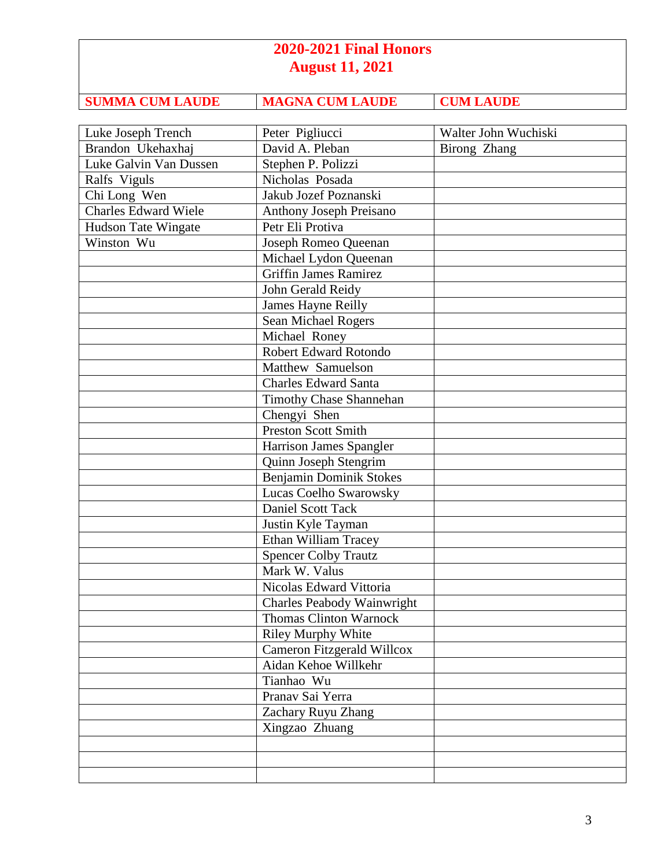## **2020-2021 Final Honors August 11, 2021**

**SUMMA CUM LAUDE MAGNA CUM LAUDE CUM LAUDE** 

| Luke Joseph Trench          | Peter Pigliucci                   | Walter John Wuchiski |
|-----------------------------|-----------------------------------|----------------------|
| Brandon Ukehaxhaj           | David A. Pleban                   | Birong Zhang         |
| Luke Galvin Van Dussen      | Stephen P. Polizzi                |                      |
| Ralfs Viguls                | Nicholas Posada                   |                      |
| Chi Long Wen                | Jakub Jozef Poznanski             |                      |
| <b>Charles Edward Wiele</b> | <b>Anthony Joseph Preisano</b>    |                      |
| Hudson Tate Wingate         | Petr Eli Protiva                  |                      |
| Winston Wu                  | Joseph Romeo Queenan              |                      |
|                             | Michael Lydon Queenan             |                      |
|                             | Griffin James Ramirez             |                      |
|                             | John Gerald Reidy                 |                      |
|                             | James Hayne Reilly                |                      |
|                             | Sean Michael Rogers               |                      |
|                             | Michael Roney                     |                      |
|                             | Robert Edward Rotondo             |                      |
|                             | Matthew Samuelson                 |                      |
|                             | <b>Charles Edward Santa</b>       |                      |
|                             | <b>Timothy Chase Shannehan</b>    |                      |
|                             | Chengyi Shen                      |                      |
|                             | <b>Preston Scott Smith</b>        |                      |
|                             | Harrison James Spangler           |                      |
|                             | Quinn Joseph Stengrim             |                      |
|                             | Benjamin Dominik Stokes           |                      |
|                             | Lucas Coelho Swarowsky            |                      |
|                             | Daniel Scott Tack                 |                      |
|                             | Justin Kyle Tayman                |                      |
|                             | Ethan William Tracey              |                      |
|                             | <b>Spencer Colby Trautz</b>       |                      |
|                             | Mark W. Valus                     |                      |
|                             | Nicolas Edward Vittoria           |                      |
|                             | <b>Charles Peabody Wainwright</b> |                      |
|                             | Thomas Clinton Warnock            |                      |
|                             | <b>Riley Murphy White</b>         |                      |
|                             | Cameron Fitzgerald Willcox        |                      |
|                             | Aidan Kehoe Willkehr              |                      |
|                             | Tianhao Wu                        |                      |
|                             | Pranav Sai Yerra                  |                      |
|                             | Zachary Ruyu Zhang                |                      |
|                             | Xingzao Zhuang                    |                      |
|                             |                                   |                      |
|                             |                                   |                      |
|                             |                                   |                      |